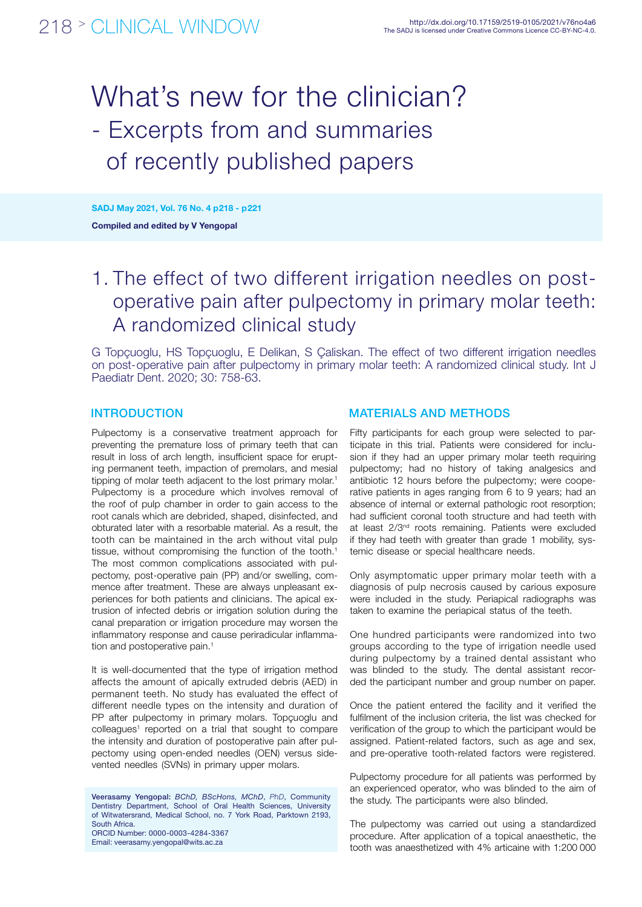# What's new for the clinician? - Excerpts from and summaries of recently published papers

Compiled and edited by V Yengopal SADJ May 2021, Vol. 76 No. 4 p218 - p221

## 1. The effect of two different irrigation needles on postoperative pain after pulpectomy in primary molar teeth: A randomized clinical study

G Topçuoglu, HS Topçuoglu, E Delikan, S Çaliskan. The effect of two different irrigation needles on post-operative pain after pulpectomy in primary molar teeth: A randomized clinical study. Int J Paediatr Dent. 2020; 30: 758-63.

Pulpectomy is a conservative treatment approach for preventing the premature loss of primary teeth that can result in loss of arch length, insufficient space for erupting permanent teeth, impaction of premolars, and mesial tipping of molar teeth adjacent to the lost primary molar.<sup>1</sup> Pulpectomy is a procedure which involves removal of the roof of pulp chamber in order to gain access to the root canals which are debrided, shaped, disinfected, and obturated later with a resorbable material. As a result, the tooth can be maintained in the arch without vital pulp tissue, without compromising the function of the tooth.<sup>1</sup> The most common complications associated with pulpectomy, post-operative pain (PP) and/or swelling, commence after treatment. These are always unpleasant experiences for both patients and clinicians. The apical extrusion of infected debris or irrigation solution during the canal preparation or irrigation procedure may worsen the inflammatory response and cause periradicular inflammation and postoperative pain.<sup>1</sup>

It is well-documented that the type of irrigation method affects the amount of apically extruded debris (AED) in permanent teeth. No study has evaluated the effect of different needle types on the intensity and duration of PP after pulpectomy in primary molars. Topçuoglu and colleagues<sup>1</sup> reported on a trial that sought to compare the intensity and duration of postoperative pain after pulpectomy using open-ended needles (OEN) versus sidevented needles (SVNs) in primary upper molars.

Veerasamy Yengopal: *BChD, BScHons, MChD*, *PhD*, Community Dentistry Department, School of Oral Health Sciences, University of Witwatersrand, Medical School, no. 7 York Road, Parktown 2193, South Africa. ORCID Number: 0000-0003-4284-3367 Email: veerasamy.yengopal@wits.ac.za

#### INTRODUCTION MATERIALS AND METHODS

Fifty participants for each group were selected to participate in this trial. Patients were considered for inclusion if they had an upper primary molar teeth requiring pulpectomy; had no history of taking analgesics and antibiotic 12 hours before the pulpectomy; were cooperative patients in ages ranging from 6 to 9 years; had an absence of internal or external pathologic root resorption; had sufficient coronal tooth structure and had teeth with at least 2/3<sup>nd</sup> roots remaining. Patients were excluded if they had teeth with greater than grade 1 mobility, systemic disease or special healthcare needs.

Only asymptomatic upper primary molar teeth with a diagnosis of pulp necrosis caused by carious exposure were included in the study. Periapical radiographs was taken to examine the periapical status of the teeth.

One hundred participants were randomized into two groups according to the type of irrigation needle used during pulpectomy by a trained dental assistant who was blinded to the study. The dental assistant recorded the participant number and group number on paper.

Once the patient entered the facility and it verified the fulfilment of the inclusion criteria, the list was checked for verification of the group to which the participant would be assigned. Patient-related factors, such as age and sex, and pre-operative tooth-related factors were registered.

Pulpectomy procedure for all patients was performed by an experienced operator, who was blinded to the aim of the study. The participants were also blinded.

The pulpectomy was carried out using a standardized procedure. After application of a topical anaesthetic, the tooth was anaesthetized with 4% articaine with 1:200 000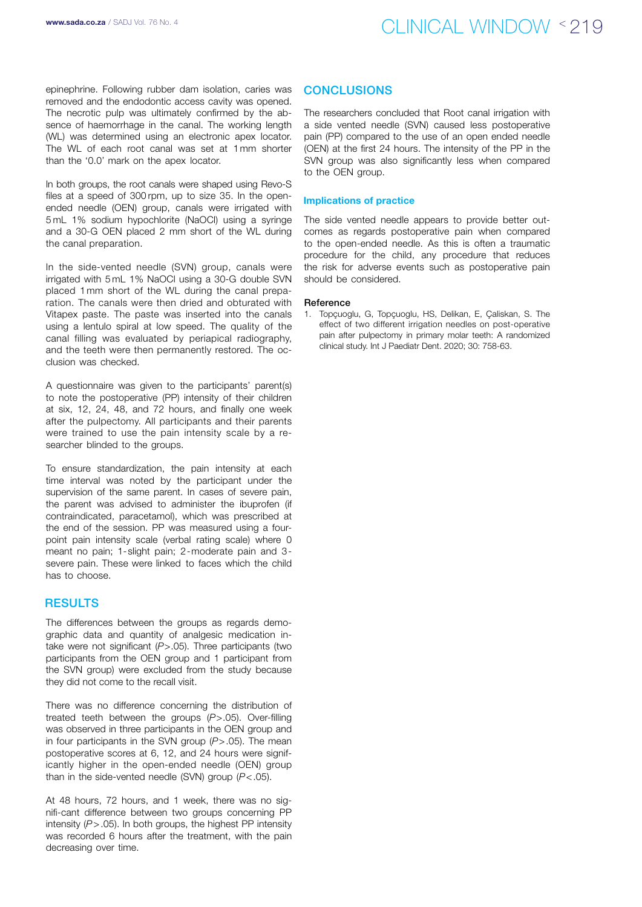### www.sada.co.za / SADJ Vol. 76 No. 4  $\bigcirc$   $\bigcirc$   $\bigcirc$   $\bigcirc$   $\bigcirc$   $\bigcirc$   $\bigcirc$   $\bigcirc$   $\bigcirc$   $\bigcirc$   $\bigcirc$   $\bigcirc$   $\bigcirc$   $\bigcirc$   $\bigcirc$   $\bigcirc$   $\bigcirc$   $\bigcirc$   $\bigcirc$   $\bigcirc$   $\bigcirc$   $\bigcirc$   $\bigcirc$   $\bigcirc$   $\bigcirc$   $\bigcirc$   $\bigcirc$   $\bigcirc$   $\bigcirc$   $\bigcirc$   $\bigcirc$

epinephrine. Following rubber dam isolation, caries was removed and the endodontic access cavity was opened. The necrotic pulp was ultimately confirmed by the absence of haemorrhage in the canal. The working length (WL) was determined using an electronic apex locator. The WL of each root canal was set at 1mm shorter than the '0.0' mark on the apex locator.

In both groups, the root canals were shaped using Revo-S files at a speed of 300 rpm, up to size 35. In the openended needle (OEN) group, canals were irrigated with 5 mL 1% sodium hypochlorite (NaOCl) using a syringe and a 30-G OEN placed 2 mm short of the WL during the canal preparation.

In the side-vented needle (SVN) group, canals were irrigated with 5 mL 1% NaOCl using a 30-G double SVN placed 1mm short of the WL during the canal preparation. The canals were then dried and obturated with Vitapex paste. The paste was inserted into the canals using a lentulo spiral at low speed. The quality of the canal filling was evaluated by periapical radiography, and the teeth were then permanently restored. The occlusion was checked.

A questionnaire was given to the participants' parent(s) to note the postoperative (PP) intensity of their children at six, 12, 24, 48, and 72 hours, and finally one week after the pulpectomy. All participants and their parents were trained to use the pain intensity scale by a researcher blinded to the groups.

To ensure standardization, the pain intensity at each time interval was noted by the participant under the supervision of the same parent. In cases of severe pain, the parent was advised to administer the ibuprofen (if contraindicated, paracetamol), which was prescribed at the end of the session. PP was measured using a fourpoint pain intensity scale (verbal rating scale) where 0 meant no pain; 1-slight pain; 2-moderate pain and 3 severe pain. These were linked to faces which the child has to choose.

#### **RESULTS**

The differences between the groups as regards demographic data and quantity of analgesic medication intake were not significant (*P*>.05). Three participants (two participants from the OEN group and 1 participant from the SVN group) were excluded from the study because they did not come to the recall visit.

There was no difference concerning the distribution of treated teeth between the groups (*P*>.05). Over-filling was observed in three participants in the OEN group and in four participants in the SVN group (*P*>.05). The mean postoperative scores at 6, 12, and 24 hours were significantly higher in the open-ended needle (OEN) group than in the side-vented needle (SVN) group (*P*<.05).

At 48 hours, 72 hours, and 1 week, there was no signifi-cant difference between two groups concerning PP intensity (*P*>.05). In both groups, the highest PP intensity was recorded 6 hours after the treatment, with the pain decreasing over time.

#### **CONCLUSIONS**

The researchers concluded that Root canal irrigation with a side vented needle (SVN) caused less postoperative pain (PP) compared to the use of an open ended needle (OEN) at the first 24 hours. The intensity of the PP in the SVN group was also significantly less when compared to the OEN group.

#### Implications of practice

The side vented needle appears to provide better outcomes as regards postoperative pain when compared to the open-ended needle. As this is often a traumatic procedure for the child, any procedure that reduces the risk for adverse events such as postoperative pain should be considered.

#### Reference

1. Topçuoglu, G, Topçuoglu, HS, Delikan, E, Çaliskan, S. The effect of two different irrigation needles on post-operative pain after pulpectomy in primary molar teeth: A randomized clinical study. Int J Paediatr Dent. 2020; 30: 758-63.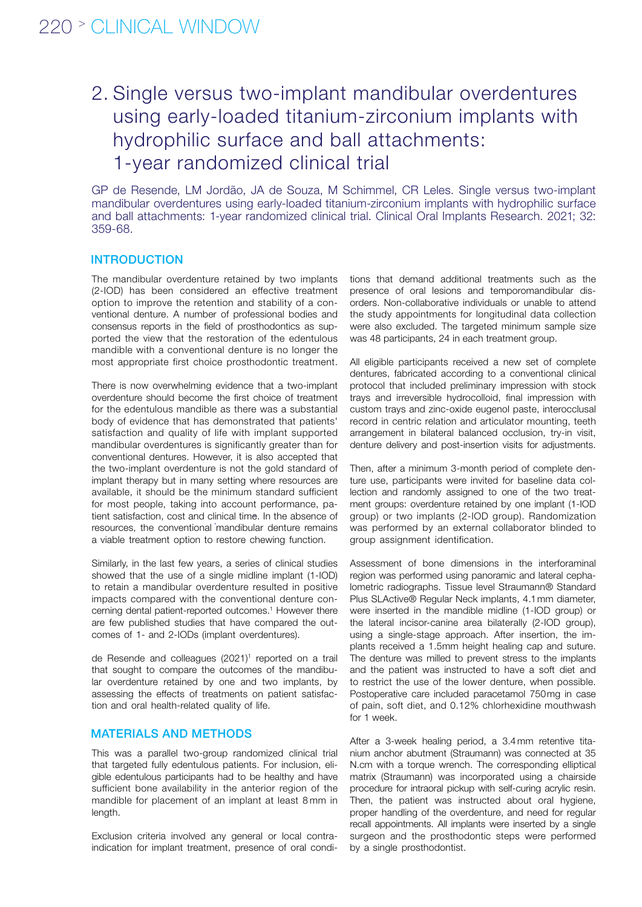## 2. Single versus two-implant mandibular overdentures using early-loaded titanium-zirconium implants with hydrophilic surface and ball attachments: 1-year randomized clinical trial

GP de Resende, LM Jordão, JA de Souza, M Schimmel, CR Leles. Single versus two-implant mandibular overdentures using early-loaded titanium-zirconium implants with hydrophilic surface and ball attachments: 1-year randomized clinical trial. Clinical Oral Implants Research. 2021; 32: 359-68.

#### **INTRODUCTION**

The mandibular overdenture retained by two implants (2-IOD) has been considered an effective treatment option to improve the retention and stability of a conventional denture. A number of professional bodies and consensus reports in the field of prosthodontics as supported the view that the restoration of the edentulous mandible with a conventional denture is no longer the most appropriate first choice prosthodontic treatment.

There is now overwhelming evidence that a two-implant overdenture should become the first choice of treatment for the edentulous mandible as there was a substantial body of evidence that has demonstrated that patients' satisfaction and quality of life with implant supported mandibular overdentures is significantly greater than for conventional dentures. However, it is also accepted that the two-implant overdenture is not the gold standard of implant therapy but in many setting where resources are available, it should be the minimum standard sufficient for most people, taking into account performance, patient satisfaction, cost and clinical time. In the absence of resources, the conventional mandibular denture remains a viable treatment option to restore chewing function.

Similarly, in the last few years, a series of clinical studies showed that the use of a single midline implant (1-IOD) to retain a mandibular overdenture resulted in positive impacts compared with the conventional denture concerning dental patient-reported outcomes.<sup>1</sup> However there are few published studies that have compared the outcomes of 1- and 2-IODs (implant overdentures).

de Resende and colleagues (2021)<sup>1</sup> reported on a trail that sought to compare the outcomes of the mandibular overdenture retained by one and two implants, by assessing the effects of treatments on patient satisfaction and oral health-related quality of life.

### MATERIALS AND METHODS

This was a parallel two-group randomized clinical trial that targeted fully edentulous patients. For inclusion, eligible edentulous participants had to be healthy and have sufficient bone availability in the anterior region of the mandible for placement of an implant at least 8 mm in length.

Exclusion criteria involved any general or local contraindication for implant treatment, presence of oral conditions that demand additional treatments such as the presence of oral lesions and temporomandibular disorders. Non-collaborative individuals or unable to attend the study appointments for longitudinal data collection were also excluded. The targeted minimum sample size was 48 participants, 24 in each treatment group.

All eligible participants received a new set of complete dentures, fabricated according to a conventional clinical protocol that included preliminary impression with stock trays and irreversible hydrocolloid, final impression with custom trays and zinc-oxide eugenol paste, interocclusal record in centric relation and articulator mounting, teeth arrangement in bilateral balanced occlusion, try-in visit, denture delivery and post-insertion visits for adjustments.

Then, after a minimum 3-month period of complete denture use, participants were invited for baseline data collection and randomly assigned to one of the two treatment groups: overdenture retained by one implant (1-IOD group) or two implants (2-IOD group). Randomization was performed by an external collaborator blinded to group assignment identification.

Assessment of bone dimensions in the interforaminal region was performed using panoramic and lateral cephalometric radiographs. Tissue level Straumann® Standard Plus SLActive® Regular Neck implants, 4.1mm diameter, were inserted in the mandible midline (1-IOD group) or the lateral incisor-canine area bilaterally (2-IOD group), using a single-stage approach. After insertion, the implants received a 1.5mm height healing cap and suture. The denture was milled to prevent stress to the implants and the patient was instructed to have a soft diet and to restrict the use of the lower denture, when possible. Postoperative care included paracetamol 750mg in case of pain, soft diet, and 0.12% chlorhexidine mouthwash for 1 week.

After a 3-week healing period, a 3.4 mm retentive titanium anchor abutment (Straumann) was connected at 35 N.cm with a torque wrench. The corresponding elliptical matrix (Straumann) was incorporated using a chairside procedure for intraoral pickup with self-curing acrylic resin. Then, the patient was instructed about oral hygiene, proper handling of the overdenture, and need for regular recall appointments. All implants were inserted by a single surgeon and the prosthodontic steps were performed by a single prosthodontist.